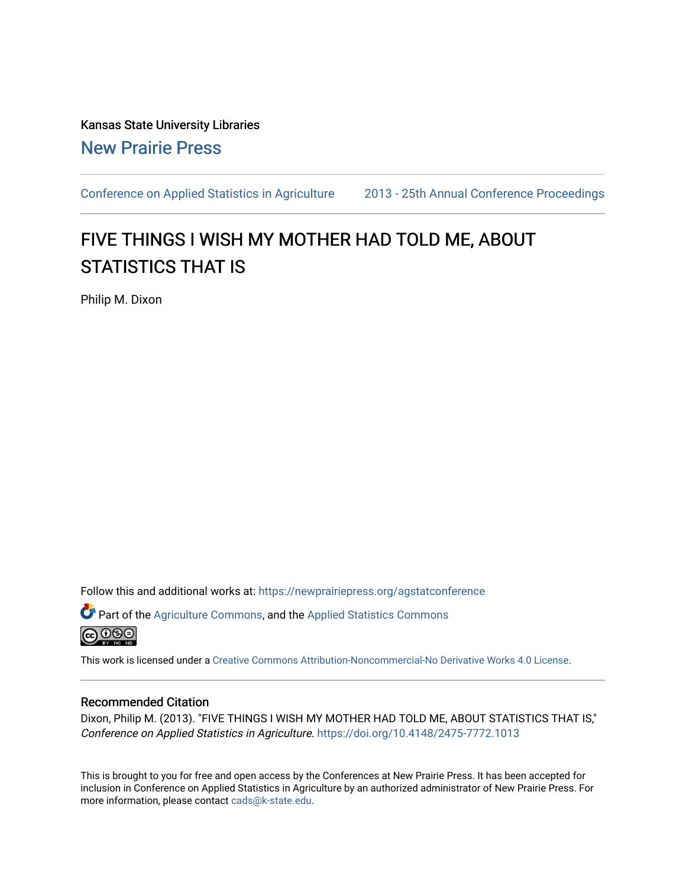Kansas State University Libraries [New Prairie Press](https://newprairiepress.org/) 

[Conference on Applied Statistics in Agriculture](https://newprairiepress.org/agstatconference) [2013 - 25th Annual Conference Proceedings](https://newprairiepress.org/agstatconference/2013) 

# FIVE THINGS I WISH MY MOTHER HAD TOLD ME, ABOUT STATISTICS THAT IS

Philip M. Dixon

Follow this and additional works at: [https://newprairiepress.org/agstatconference](https://newprairiepress.org/agstatconference?utm_source=newprairiepress.org%2Fagstatconference%2F2013%2Fproceedings%2F3&utm_medium=PDF&utm_campaign=PDFCoverPages)

Part of the [Agriculture Commons](http://network.bepress.com/hgg/discipline/1076?utm_source=newprairiepress.org%2Fagstatconference%2F2013%2Fproceedings%2F3&utm_medium=PDF&utm_campaign=PDFCoverPages), and the [Applied Statistics Commons](http://network.bepress.com/hgg/discipline/209?utm_source=newprairiepress.org%2Fagstatconference%2F2013%2Fproceedings%2F3&utm_medium=PDF&utm_campaign=PDFCoverPages)   $\bigcirc$  000

This work is licensed under a [Creative Commons Attribution-Noncommercial-No Derivative Works 4.0 License.](https://creativecommons.org/licenses/by-nc-nd/4.0/)

#### Recommended Citation

Dixon, Philip M. (2013). "FIVE THINGS I WISH MY MOTHER HAD TOLD ME, ABOUT STATISTICS THAT IS," Conference on Applied Statistics in Agriculture.<https://doi.org/10.4148/2475-7772.1013>

This is brought to you for free and open access by the Conferences at New Prairie Press. It has been accepted for inclusion in Conference on Applied Statistics in Agriculture by an authorized administrator of New Prairie Press. For more information, please contact [cads@k-state.edu](mailto:cads@k-state.edu).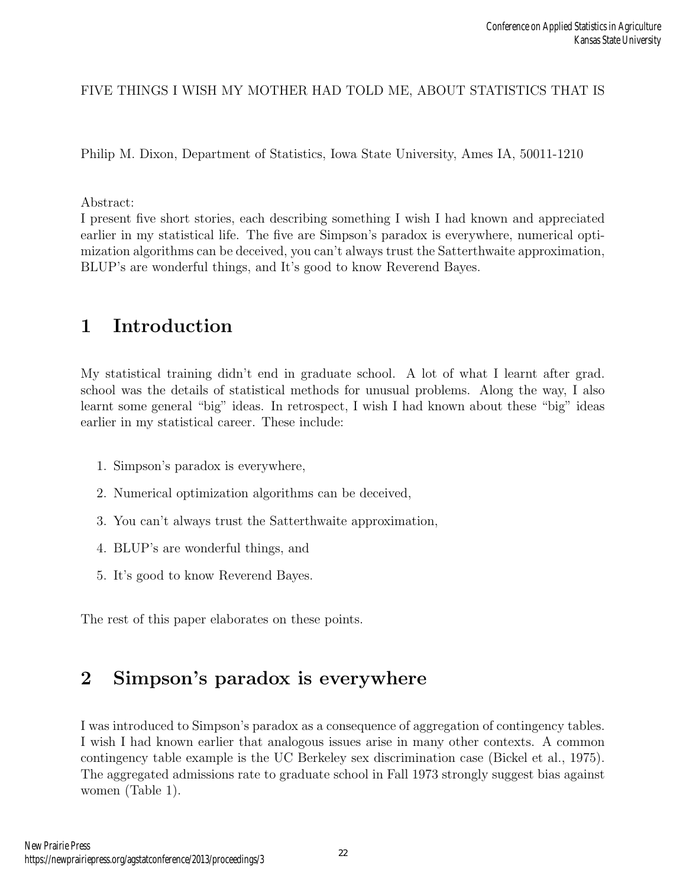#### FIVE THINGS I WISH MY MOTHER HAD TOLD ME, ABOUT STATISTICS THAT IS

Philip M. Dixon, Department of Statistics, Iowa State University, Ames IA, 50011-1210

#### Abstract:

I present five short stories, each describing something I wish I had known and appreciated earlier in my statistical life. The five are Simpson's paradox is everywhere, numerical optimization algorithms can be deceived, you can't always trust the Satterthwaite approximation, BLUP's are wonderful things, and It's good to know Reverend Bayes.

### 1 Introduction

My statistical training didn't end in graduate school. A lot of what I learnt after grad. school was the details of statistical methods for unusual problems. Along the way, I also learnt some general "big" ideas. In retrospect, I wish I had known about these "big" ideas earlier in my statistical career. These include:

- 1. Simpson's paradox is everywhere,
- 2. Numerical optimization algorithms can be deceived,
- 3. You can't always trust the Satterthwaite approximation,
- 4. BLUP's are wonderful things, and
- 5. It's good to know Reverend Bayes.

The rest of this paper elaborates on these points.

## 2 Simpson's paradox is everywhere

I was introduced to Simpson's paradox as a consequence of aggregation of contingency tables. I wish I had known earlier that analogous issues arise in many other contexts. A common contingency table example is the UC Berkeley sex discrimination case (Bickel et al., 1975). The aggregated admissions rate to graduate school in Fall 1973 strongly suggest bias against women (Table 1).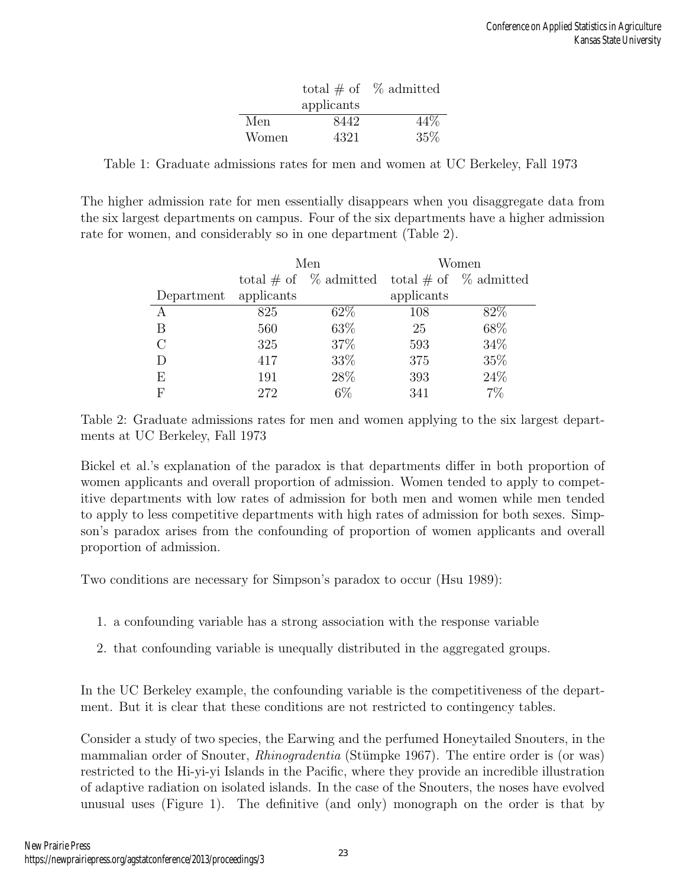|       |            | total # of $%$ admitted |
|-------|------------|-------------------------|
|       | applicants |                         |
| Men   | 8442       | 44%                     |
| Women | 4321       | 35\%                    |

Table 1: Graduate admissions rates for men and women at UC Berkeley, Fall 1973

The higher admission rate for men essentially disappears when you disaggregate data from the six largest departments on campus. Four of the six departments have a higher admission rate for women, and considerably so in one department (Table 2).

|            |                                                   | Men   | Women      |      |  |
|------------|---------------------------------------------------|-------|------------|------|--|
|            | total # of $\%$ admitted total # of $\%$ admitted |       |            |      |  |
| Department | applicants                                        |       | applicants |      |  |
|            | 825                                               | 62\%  | 108        | 82\% |  |
| В          | 560                                               | 63\%  | 25         | 68\% |  |
| C          | 325                                               | 37\%  | 593        | 34\% |  |
|            | 417                                               | 33\%  | 375        | 35%  |  |
| E          | 191                                               | 28\%  | 393        | 24%  |  |
| F          | 272                                               | $6\%$ | 341        | 7%   |  |

Table 2: Graduate admissions rates for men and women applying to the six largest departments at UC Berkeley, Fall 1973

Bickel et al.'s explanation of the paradox is that departments differ in both proportion of women applicants and overall proportion of admission. Women tended to apply to competitive departments with low rates of admission for both men and women while men tended to apply to less competitive departments with high rates of admission for both sexes. Simpson's paradox arises from the confounding of proportion of women applicants and overall proportion of admission.

Two conditions are necessary for Simpson's paradox to occur (Hsu 1989):

- 1. a confounding variable has a strong association with the response variable
- 2. that confounding variable is unequally distributed in the aggregated groups.

In the UC Berkeley example, the confounding variable is the competitiveness of the department. But it is clear that these conditions are not restricted to contingency tables.

Consider a study of two species, the Earwing and the perfumed Honeytailed Snouters, in the mammalian order of Snouter, *Rhinogradentia* (Stümpke 1967). The entire order is (or was) restricted to the Hi-yi-yi Islands in the Pacific, where they provide an incredible illustration of adaptive radiation on isolated islands. In the case of the Snouters, the noses have evolved unusual uses (Figure 1). The definitive (and only) monograph on the order is that by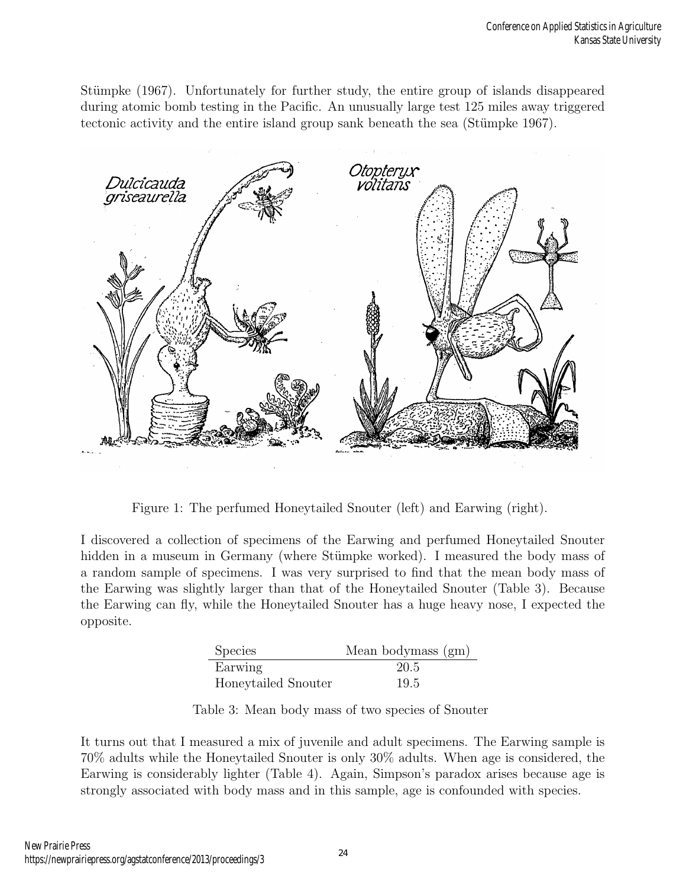Stümpke (1967). Unfortunately for further study, the entire group of islands disappeared during atomic bomb testing in the Pacific. An unusually large test 125 miles away triggered tectonic activity and the entire island group sank beneath the sea (Stümpke 1967).



Figure 1: The perfumed Honeytailed Snouter (left) and Earwing (right).

I discovered a collection of specimens of the Earwing and perfumed Honeytailed Snouter hidden in a museum in Germany (where Stümpke worked). I measured the body mass of a random sample of specimens. I was very surprised to find that the mean body mass of the Earwing was slightly larger than that of the Honeytailed Snouter (Table 3). Because the Earwing can fly, while the Honeytailed Snouter has a huge heavy nose, I expected the opposite.

| Species             | Mean bodymass (gm) |
|---------------------|--------------------|
| Earwing             | 20.5               |
| Honeytailed Snouter | 19.5               |

Table 3: Mean body mass of two species of Snouter

It turns out that I measured a mix of juvenile and adult specimens. The Earwing sample is 70% adults while the Honeytailed Snouter is only 30% adults. When age is considered, the Earwing is considerably lighter (Table 4). Again, Simpson's paradox arises because age is strongly associated with body mass and in this sample, age is confounded with species.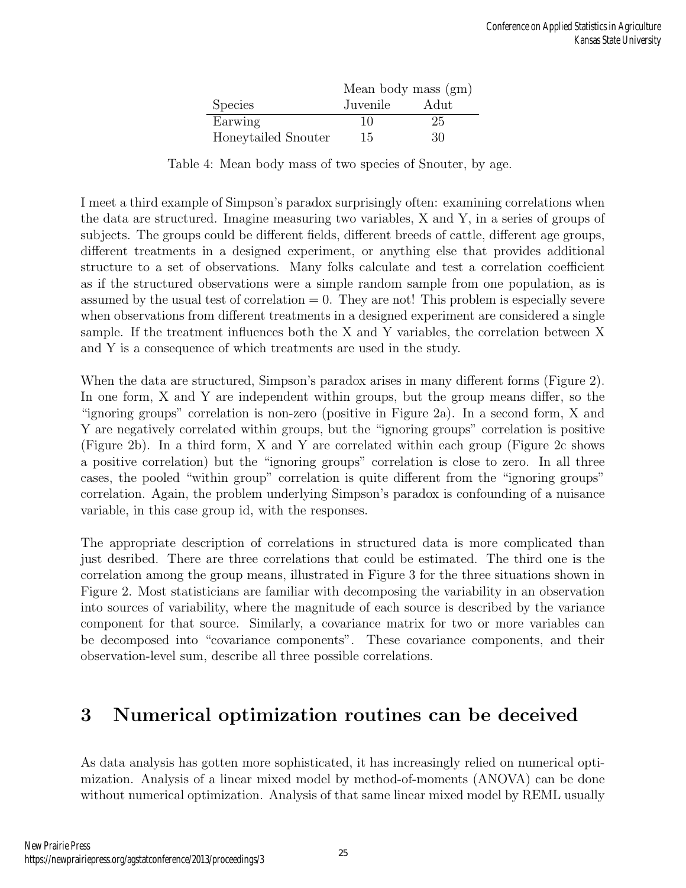|                     | Mean body mass (gm) |        |  |  |
|---------------------|---------------------|--------|--|--|
| <b>Species</b>      | Juvenile            | - Adut |  |  |
| Earwing             | 10                  | 25     |  |  |
| Honeytailed Snouter | 15                  | 30     |  |  |

Table 4: Mean body mass of two species of Snouter, by age.

I meet a third example of Simpson's paradox surprisingly often: examining correlations when the data are structured. Imagine measuring two variables, X and Y, in a series of groups of subjects. The groups could be different fields, different breeds of cattle, different age groups, different treatments in a designed experiment, or anything else that provides additional structure to a set of observations. Many folks calculate and test a correlation coefficient as if the structured observations were a simple random sample from one population, as is assumed by the usual test of correlation  $= 0$ . They are not! This problem is especially severe when observations from different treatments in a designed experiment are considered a single sample. If the treatment influences both the X and Y variables, the correlation between X and Y is a consequence of which treatments are used in the study.

When the data are structured, Simpson's paradox arises in many different forms (Figure 2). In one form, X and Y are independent within groups, but the group means differ, so the "ignoring groups" correlation is non-zero (positive in Figure 2a). In a second form, X and Y are negatively correlated within groups, but the "ignoring groups" correlation is positive (Figure 2b). In a third form, X and Y are correlated within each group (Figure 2c shows a positive correlation) but the "ignoring groups" correlation is close to zero. In all three cases, the pooled "within group" correlation is quite different from the "ignoring groups" correlation. Again, the problem underlying Simpson's paradox is confounding of a nuisance variable, in this case group id, with the responses.

The appropriate description of correlations in structured data is more complicated than just desribed. There are three correlations that could be estimated. The third one is the correlation among the group means, illustrated in Figure 3 for the three situations shown in Figure 2. Most statisticians are familiar with decomposing the variability in an observation into sources of variability, where the magnitude of each source is described by the variance component for that source. Similarly, a covariance matrix for two or more variables can be decomposed into "covariance components". These covariance components, and their observation-level sum, describe all three possible correlations.

### 3 Numerical optimization routines can be deceived

As data analysis has gotten more sophisticated, it has increasingly relied on numerical optimization. Analysis of a linear mixed model by method-of-moments (ANOVA) can be done without numerical optimization. Analysis of that same linear mixed model by REML usually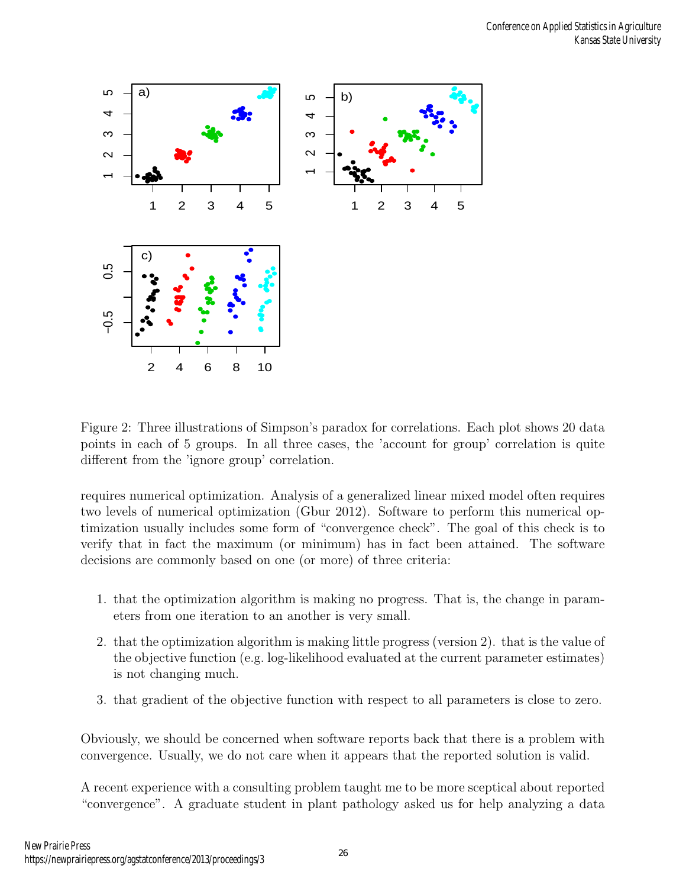

Figure 2: Three illustrations of Simpson's paradox for correlations. Each plot shows 20 data points in each of 5 groups. In all three cases, the 'account for group' correlation is quite different from the 'ignore group' correlation.

requires numerical optimization. Analysis of a generalized linear mixed model often requires two levels of numerical optimization (Gbur 2012). Software to perform this numerical optimization usually includes some form of "convergence check". The goal of this check is to verify that in fact the maximum (or minimum) has in fact been attained. The software decisions are commonly based on one (or more) of three criteria:

- 1. that the optimization algorithm is making no progress. That is, the change in parameters from one iteration to an another is very small.
- 2. that the optimization algorithm is making little progress (version 2). that is the value of the objective function (e.g. log-likelihood evaluated at the current parameter estimates) is not changing much.
- 3. that gradient of the objective function with respect to all parameters is close to zero.

Obviously, we should be concerned when software reports back that there is a problem with convergence. Usually, we do not care when it appears that the reported solution is valid.

A recent experience with a consulting problem taught me to be more sceptical about reported "convergence". A graduate student in plant pathology asked us for help analyzing a data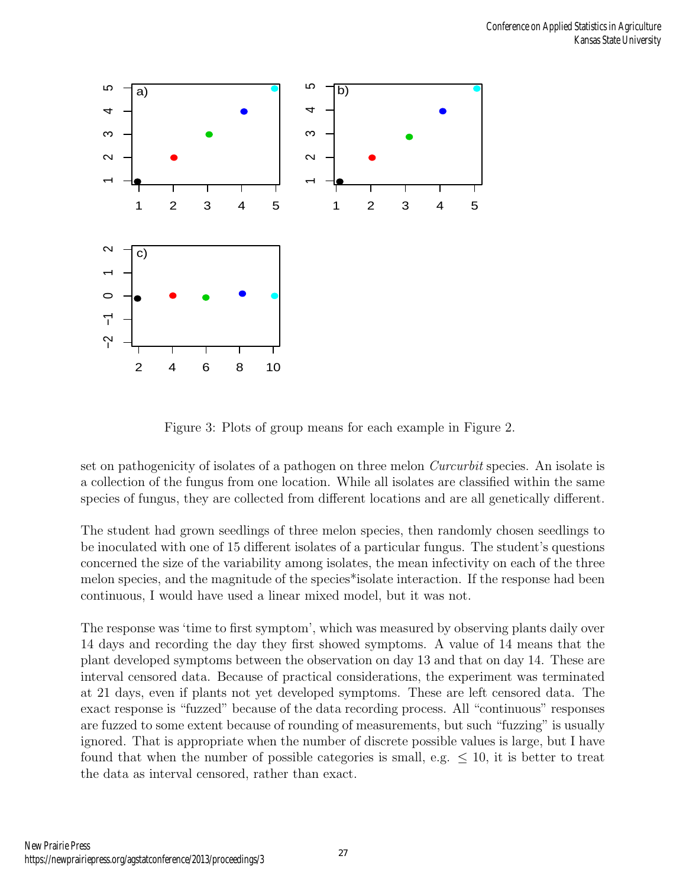

Figure 3: Plots of group means for each example in Figure 2.

set on pathogenicity of isolates of a pathogen on three melon *Curcurbit* species. An isolate is a collection of the fungus from one location. While all isolates are classified within the same species of fungus, they are collected from different locations and are all genetically different.

The student had grown seedlings of three melon species, then randomly chosen seedlings to be inoculated with one of 15 different isolates of a particular fungus. The student's questions concerned the size of the variability among isolates, the mean infectivity on each of the three melon species, and the magnitude of the species\*isolate interaction. If the response had been continuous, I would have used a linear mixed model, but it was not.

The response was 'time to first symptom', which was measured by observing plants daily over 14 days and recording the day they first showed symptoms. A value of 14 means that the plant developed symptoms between the observation on day 13 and that on day 14. These are interval censored data. Because of practical considerations, the experiment was terminated at 21 days, even if plants not yet developed symptoms. These are left censored data. The exact response is "fuzzed" because of the data recording process. All "continuous" responses are fuzzed to some extent because of rounding of measurements, but such "fuzzing" is usually ignored. That is appropriate when the number of discrete possible values is large, but I have found that when the number of possible categories is small, e.g.  $\leq 10$ , it is better to treat the data as interval censored, rather than exact.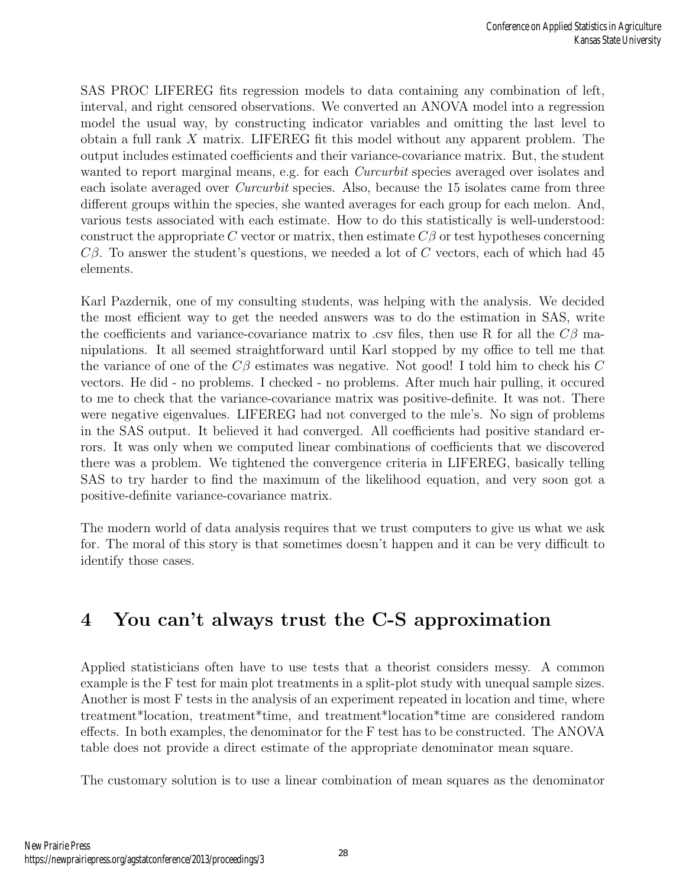SAS PROC LIFEREG fits regression models to data containing any combination of left, interval, and right censored observations. We converted an ANOVA model into a regression model the usual way, by constructing indicator variables and omitting the last level to obtain a full rank X matrix. LIFEREG fit this model without any apparent problem. The output includes estimated coefficients and their variance-covariance matrix. But, the student wanted to report marginal means, e.g. for each *Curcurbit* species averaged over isolates and each isolate averaged over Curcurbit species. Also, because the 15 isolates came from three different groups within the species, she wanted averages for each group for each melon. And, various tests associated with each estimate. How to do this statistically is well-understood: construct the appropriate C vector or matrix, then estimate  $C\beta$  or test hypotheses concerning  $C\beta$ . To answer the student's questions, we needed a lot of C vectors, each of which had 45 elements.

Karl Pazdernik, one of my consulting students, was helping with the analysis. We decided the most efficient way to get the needed answers was to do the estimation in SAS, write the coefficients and variance-covariance matrix to .csv files, then use R for all the  $C\beta$  manipulations. It all seemed straightforward until Karl stopped by my office to tell me that the variance of one of the  $C\beta$  estimates was negative. Not good! I told him to check his C vectors. He did - no problems. I checked - no problems. After much hair pulling, it occured to me to check that the variance-covariance matrix was positive-definite. It was not. There were negative eigenvalues. LIFEREG had not converged to the mle's. No sign of problems in the SAS output. It believed it had converged. All coefficients had positive standard errors. It was only when we computed linear combinations of coefficients that we discovered there was a problem. We tightened the convergence criteria in LIFEREG, basically telling SAS to try harder to find the maximum of the likelihood equation, and very soon got a positive-definite variance-covariance matrix.

The modern world of data analysis requires that we trust computers to give us what we ask for. The moral of this story is that sometimes doesn't happen and it can be very difficult to identify those cases.

# 4 You can't always trust the C-S approximation

Applied statisticians often have to use tests that a theorist considers messy. A common example is the F test for main plot treatments in a split-plot study with unequal sample sizes. Another is most F tests in the analysis of an experiment repeated in location and time, where treatment\*location, treatment\*time, and treatment\*location\*time are considered random effects. In both examples, the denominator for the F test has to be constructed. The ANOVA table does not provide a direct estimate of the appropriate denominator mean square.

The customary solution is to use a linear combination of mean squares as the denominator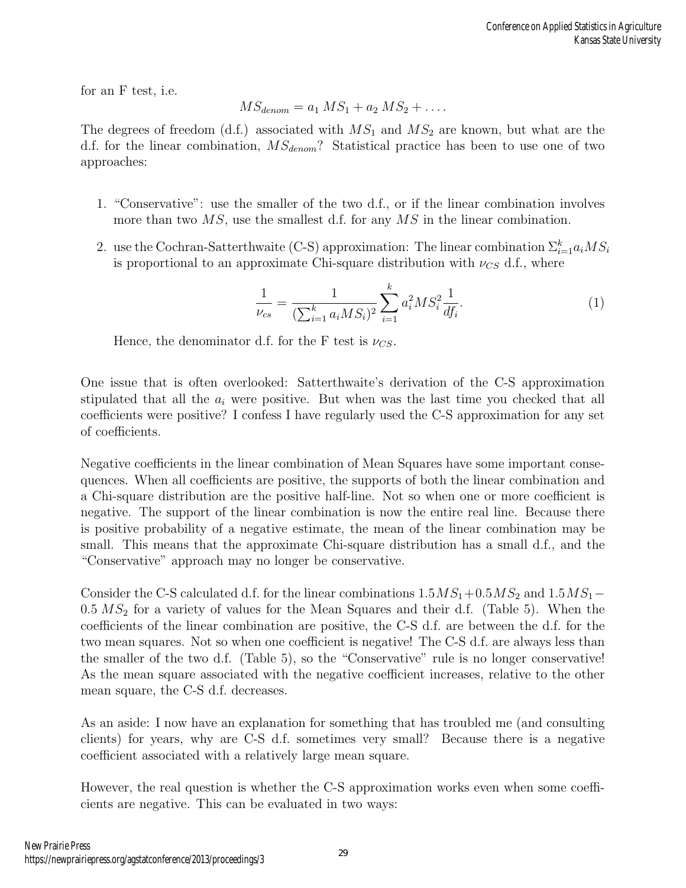for an F test, i.e.

$$
MS_{denom} = a_1 MS_1 + a_2 MS_2 + \dots
$$

The degrees of freedom (d.f.) associated with  $MS_1$  and  $MS_2$  are known, but what are the d.f. for the linear combination,  $MS_{denom}$ ? Statistical practice has been to use one of two approaches:

- 1. "Conservative": use the smaller of the two d.f., or if the linear combination involves more than two  $MS$ , use the smallest d.f. for any  $MS$  in the linear combination.
- 2. use the Cochran-Satterthwaite (C-S) approximation: The linear combination  $\Sigma_{i=1}^k a_i MS_i$ is proportional to an approximate Chi-square distribution with  $\nu_{CS}$  d.f., where

$$
\frac{1}{\nu_{cs}} = \frac{1}{(\sum_{i=1}^k a_i MS_i)^2} \sum_{i=1}^k a_i^2 MS_i^2 \frac{1}{df_i}.
$$
 (1)

Hence, the denominator d.f. for the F test is  $\nu_{CS}$ .

One issue that is often overlooked: Satterthwaite's derivation of the C-S approximation stipulated that all the  $a_i$  were positive. But when was the last time you checked that all coefficients were positive? I confess I have regularly used the C-S approximation for any set of coefficients.

Negative coefficients in the linear combination of Mean Squares have some important consequences. When all coefficients are positive, the supports of both the linear combination and a Chi-square distribution are the positive half-line. Not so when one or more coefficient is negative. The support of the linear combination is now the entire real line. Because there is positive probability of a negative estimate, the mean of the linear combination may be small. This means that the approximate Chi-square distribution has a small d.f., and the "Conservative" approach may no longer be conservative.

Consider the C-S calculated d.f. for the linear combinations  $1.5MS_1+0.5MS_2$  and  $1.5MS_1 0.5 M S<sub>2</sub>$  for a variety of values for the Mean Squares and their d.f. (Table 5). When the coefficients of the linear combination are positive, the C-S d.f. are between the d.f. for the two mean squares. Not so when one coefficient is negative! The C-S d.f. are always less than the smaller of the two d.f. (Table 5), so the "Conservative" rule is no longer conservative! As the mean square associated with the negative coefficient increases, relative to the other mean square, the C-S d.f. decreases.

As an aside: I now have an explanation for something that has troubled me (and consulting clients) for years, why are C-S d.f. sometimes very small? Because there is a negative coefficient associated with a relatively large mean square.

However, the real question is whether the C-S approximation works even when some coefficients are negative. This can be evaluated in two ways: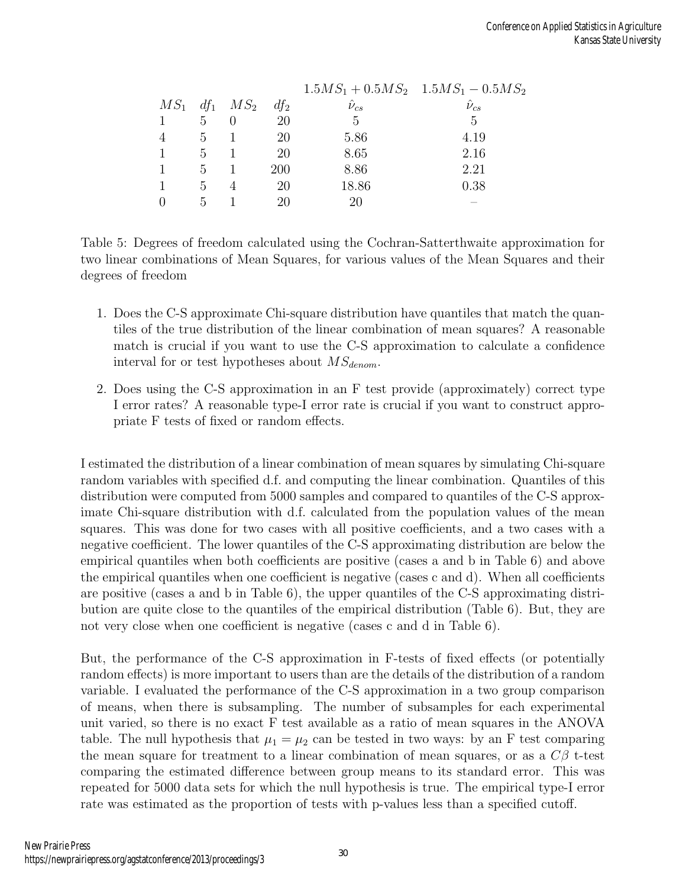|                 |                               |        |                  | $1.5MS_1 + 0.5MS_2$ $1.5MS_1 - 0.5MS_2$ |
|-----------------|-------------------------------|--------|------------------|-----------------------------------------|
|                 | $MS_1$ df <sub>1</sub> $MS_2$ | $df_2$ | $\hat{\nu}_{cs}$ | $\hat{\nu}_{cs}$                        |
| $5\overline{)}$ |                               | 20     | 5                | 5                                       |
| 5               |                               | 20     | 5.86             | 4.19                                    |
| $\mathbf{5}$    |                               | 20     | 8.65             | 2.16                                    |
| $\mathbf{5}$    |                               | 200    | 8.86             | 2.21                                    |
| 5               |                               | 20     | 18.86            | 0.38                                    |
| 5               |                               | 20     | 20               |                                         |

Table 5: Degrees of freedom calculated using the Cochran-Satterthwaite approximation for two linear combinations of Mean Squares, for various values of the Mean Squares and their degrees of freedom

- 1. Does the C-S approximate Chi-square distribution have quantiles that match the quantiles of the true distribution of the linear combination of mean squares? A reasonable match is crucial if you want to use the C-S approximation to calculate a confidence interval for or test hypotheses about  $MS_{denom}$ .
- 2. Does using the C-S approximation in an F test provide (approximately) correct type I error rates? A reasonable type-I error rate is crucial if you want to construct appropriate F tests of fixed or random effects.

I estimated the distribution of a linear combination of mean squares by simulating Chi-square random variables with specified d.f. and computing the linear combination. Quantiles of this distribution were computed from 5000 samples and compared to quantiles of the C-S approximate Chi-square distribution with d.f. calculated from the population values of the mean squares. This was done for two cases with all positive coefficients, and a two cases with a negative coefficient. The lower quantiles of the C-S approximating distribution are below the empirical quantiles when both coefficients are positive (cases a and b in Table 6) and above the empirical quantiles when one coefficient is negative (cases c and d). When all coefficients are positive (cases a and b in Table 6), the upper quantiles of the C-S approximating distribution are quite close to the quantiles of the empirical distribution (Table 6). But, they are not very close when one coefficient is negative (cases c and d in Table 6).

But, the performance of the C-S approximation in F-tests of fixed effects (or potentially random effects) is more important to users than are the details of the distribution of a random variable. I evaluated the performance of the C-S approximation in a two group comparison of means, when there is subsampling. The number of subsamples for each experimental unit varied, so there is no exact F test available as a ratio of mean squares in the ANOVA table. The null hypothesis that  $\mu_1 = \mu_2$  can be tested in two ways: by an F test comparing the mean square for treatment to a linear combination of mean squares, or as a  $C\beta$  t-test comparing the estimated difference between group means to its standard error. This was repeated for 5000 data sets for which the null hypothesis is true. The empirical type-I error rate was estimated as the proportion of tests with p-values less than a specified cutoff.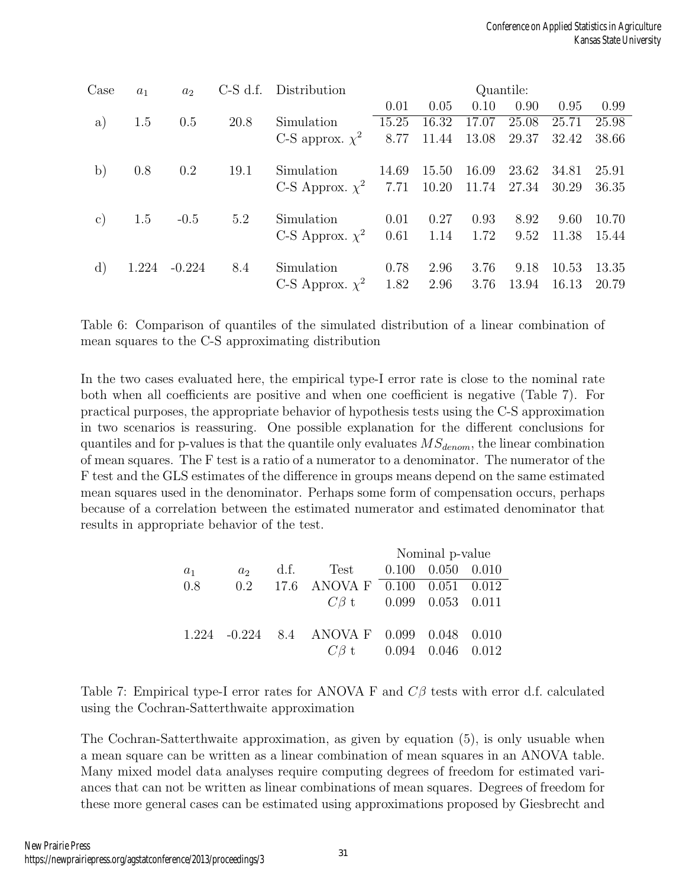| Case           | $a_1$ | a <sub>2</sub> | $C-S$ d.f. | Distribution                                      | Quantile: |                      |       |       |       |       |
|----------------|-------|----------------|------------|---------------------------------------------------|-----------|----------------------|-------|-------|-------|-------|
|                |       |                |            |                                                   | 0.01      | 0.05                 | 0.10  | 0.90  | 0.95  | 0.99  |
| a)             | 1.5   | 0.5            | 20.8       | Simulation                                        | 15.25     | 16.32                | 17.07 | 25.08 | 25.71 | 25.98 |
|                |       |                |            | C-S approx. $\chi^2$                              | 8.77      | 11.44                | 13.08 | 29.37 | 32.42 | 38.66 |
| b)             | 0.8   | 0.2            | 19.1       | Simulation                                        | 14.69     | 15.50                | 16.09 | 23.62 | 34.81 | 25.91 |
|                |       |                |            | C-S Approx. $\chi^2$ 7.71 10.20 11.74 27.34 30.29 |           |                      |       |       |       | 36.35 |
| $\mathbf{c})$  | 1.5   | $-0.5$         | 5.2        | Simulation                                        | 0.01      | 0.27                 | 0.93  | 8.92  | 9.60  | 10.70 |
|                |       |                |            | C-S Approx. $\chi^2$                              |           | $0.61$ $1.14$ $1.72$ |       | 9.52  | 11.38 | 15.44 |
| $\mathrm{d}$ ) | 1.224 | $-0.224$       | 8.4        | Simulation                                        | 0.78      | 2.96                 | 3.76  | 9.18  | 10.53 | 13.35 |
|                |       |                |            | C-S Approx. $\chi^2$ 1.82                         |           | 2.96                 | 3.76  | 13.94 | 16.13 | 20.79 |

Table 6: Comparison of quantiles of the simulated distribution of a linear combination of mean squares to the C-S approximating distribution

In the two cases evaluated here, the empirical type-I error rate is close to the nominal rate both when all coefficients are positive and when one coefficient is negative (Table 7). For practical purposes, the appropriate behavior of hypothesis tests using the C-S approximation in two scenarios is reassuring. One possible explanation for the different conclusions for quantiles and for p-values is that the quantile only evaluates  $MS_{denom}$ , the linear combination of mean squares. The F test is a ratio of a numerator to a denominator. The numerator of the F test and the GLS estimates of the difference in groups means depend on the same estimated mean squares used in the denominator. Perhaps some form of compensation occurs, perhaps because of a correlation between the estimated numerator and estimated denominator that results in appropriate behavior of the test.

|       |                |                                            | Nominal p-value |  |  |  |
|-------|----------------|--------------------------------------------|-----------------|--|--|--|
| $a_1$ | a <sub>2</sub> | d.f. Test $0.100$ $0.050$ $0.010$          |                 |  |  |  |
| 0.8   | 0.2            | 17.6 ANOVA F 0.100 0.051 0.012             |                 |  |  |  |
|       |                | $C\beta$ t 0.099 0.053 0.011               |                 |  |  |  |
|       |                | 1.224 -0.224 8.4 ANOVA F 0.099 0.048 0.010 |                 |  |  |  |
|       |                | $C\beta$ t 0.094 0.046 0.012               |                 |  |  |  |

Table 7: Empirical type-I error rates for ANOVA F and  $C\beta$  tests with error d.f. calculated using the Cochran-Satterthwaite approximation

The Cochran-Satterthwaite approximation, as given by equation (5), is only usuable when a mean square can be written as a linear combination of mean squares in an ANOVA table. Many mixed model data analyses require computing degrees of freedom for estimated variances that can not be written as linear combinations of mean squares. Degrees of freedom for these more general cases can be estimated using approximations proposed by Giesbrecht and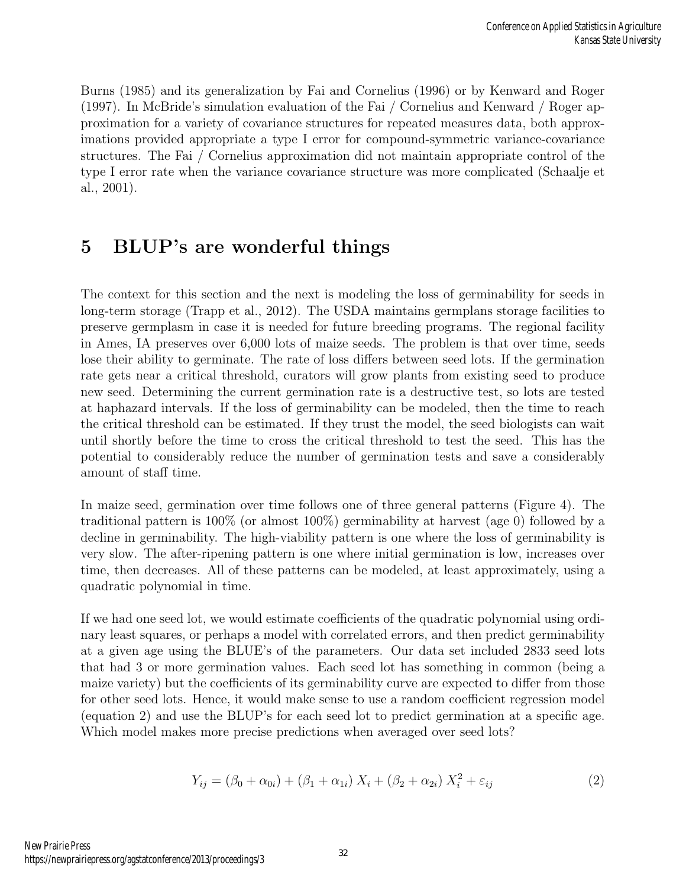Burns (1985) and its generalization by Fai and Cornelius (1996) or by Kenward and Roger (1997). In McBride's simulation evaluation of the Fai / Cornelius and Kenward / Roger approximation for a variety of covariance structures for repeated measures data, both approximations provided appropriate a type I error for compound-symmetric variance-covariance structures. The Fai / Cornelius approximation did not maintain appropriate control of the type I error rate when the variance covariance structure was more complicated (Schaalje et al., 2001).

# 5 BLUP's are wonderful things

The context for this section and the next is modeling the loss of germinability for seeds in long-term storage (Trapp et al., 2012). The USDA maintains germplans storage facilities to preserve germplasm in case it is needed for future breeding programs. The regional facility in Ames, IA preserves over 6,000 lots of maize seeds. The problem is that over time, seeds lose their ability to germinate. The rate of loss differs between seed lots. If the germination rate gets near a critical threshold, curators will grow plants from existing seed to produce new seed. Determining the current germination rate is a destructive test, so lots are tested at haphazard intervals. If the loss of germinability can be modeled, then the time to reach the critical threshold can be estimated. If they trust the model, the seed biologists can wait until shortly before the time to cross the critical threshold to test the seed. This has the potential to considerably reduce the number of germination tests and save a considerably amount of staff time.

In maize seed, germination over time follows one of three general patterns (Figure 4). The traditional pattern is 100% (or almost 100%) germinability at harvest (age 0) followed by a decline in germinability. The high-viability pattern is one where the loss of germinability is very slow. The after-ripening pattern is one where initial germination is low, increases over time, then decreases. All of these patterns can be modeled, at least approximately, using a quadratic polynomial in time.

If we had one seed lot, we would estimate coefficients of the quadratic polynomial using ordinary least squares, or perhaps a model with correlated errors, and then predict germinability at a given age using the BLUE's of the parameters. Our data set included 2833 seed lots that had 3 or more germination values. Each seed lot has something in common (being a maize variety) but the coefficients of its germinability curve are expected to differ from those for other seed lots. Hence, it would make sense to use a random coefficient regression model (equation 2) and use the BLUP's for each seed lot to predict germination at a specific age. Which model makes more precise predictions when averaged over seed lots?

$$
Y_{ij} = (\beta_0 + \alpha_{0i}) + (\beta_1 + \alpha_{1i}) X_i + (\beta_2 + \alpha_{2i}) X_i^2 + \varepsilon_{ij}
$$
 (2)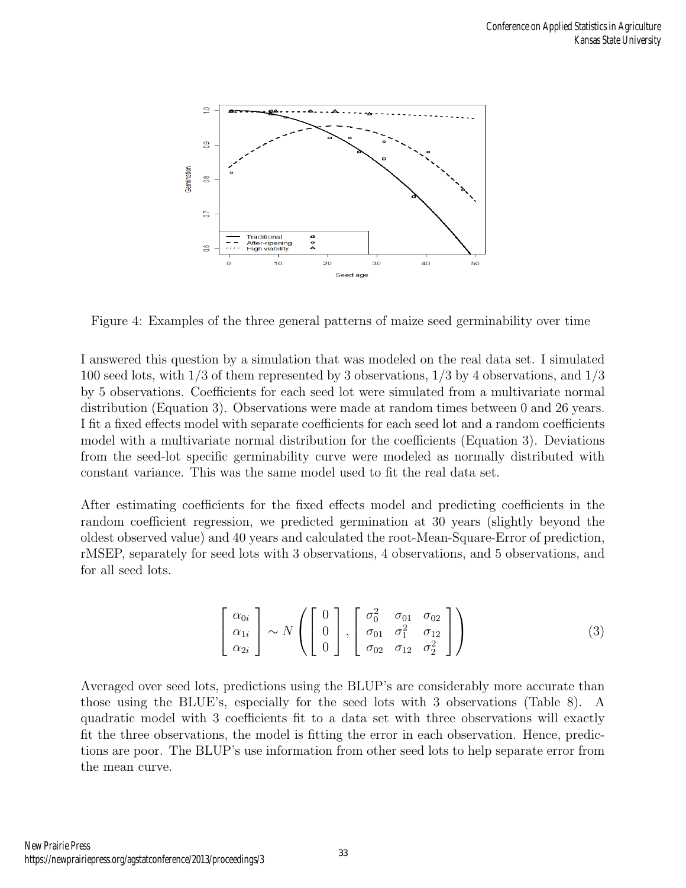

Figure 4: Examples of the three general patterns of maize seed germinability over time

I answered this question by a simulation that was modeled on the real data set. I simulated 100 seed lots, with 1/3 of them represented by 3 observations, 1/3 by 4 observations, and 1/3 by 5 observations. Coefficients for each seed lot were simulated from a multivariate normal distribution (Equation 3). Observations were made at random times between 0 and 26 years. I fit a fixed effects model with separate coefficients for each seed lot and a random coefficients model with a multivariate normal distribution for the coefficients (Equation 3). Deviations from the seed-lot specific germinability curve were modeled as normally distributed with constant variance. This was the same model used to fit the real data set.

After estimating coefficients for the fixed effects model and predicting coefficients in the random coefficient regression, we predicted germination at 30 years (slightly beyond the oldest observed value) and 40 years and calculated the root-Mean-Square-Error of prediction, rMSEP, separately for seed lots with 3 observations, 4 observations, and 5 observations, and for all seed lots.

$$
\begin{bmatrix}\n\alpha_{0i} \\
\alpha_{1i} \\
\alpha_{2i}\n\end{bmatrix}\n\sim N\left(\n\begin{bmatrix}\n0 \\
0 \\
0\n\end{bmatrix},\n\begin{bmatrix}\n\sigma_0^2 & \sigma_{01} & \sigma_{02} \\
\sigma_{01} & \sigma_1^2 & \sigma_{12} \\
\sigma_{02} & \sigma_{12} & \sigma_2^2\n\end{bmatrix}\right)
$$
\n(3)

Averaged over seed lots, predictions using the BLUP's are considerably more accurate than those using the BLUE's, especially for the seed lots with 3 observations (Table 8). A quadratic model with 3 coefficients fit to a data set with three observations will exactly fit the three observations, the model is fitting the error in each observation. Hence, predictions are poor. The BLUP's use information from other seed lots to help separate error from the mean curve.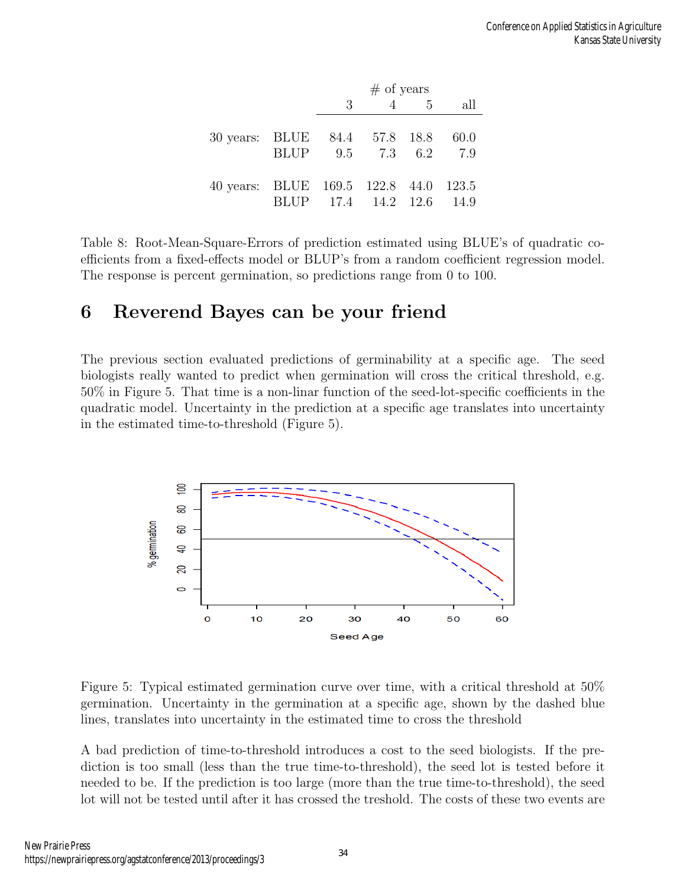|                                       |                          | $#$ of years |  |            |     |  |
|---------------------------------------|--------------------------|--------------|--|------------|-----|--|
|                                       |                          | 3            |  | $4\quad 5$ | all |  |
|                                       |                          |              |  |            |     |  |
| 30 years: BLUE 84.4 57.8 18.8 60.0    |                          |              |  |            |     |  |
|                                       | BLUP 9.5 7.3 6.2         |              |  |            | 7.9 |  |
|                                       |                          |              |  |            |     |  |
| 40 years: BLUE 169.5 122.8 44.0 123.5 |                          |              |  |            |     |  |
|                                       | BLUP 17.4 14.2 12.6 14.9 |              |  |            |     |  |

Table 8: Root-Mean-Square-Errors of prediction estimated using BLUE's of quadratic coefficients from a fixed-effects model or BLUP's from a random coefficient regression model. The response is percent germination, so predictions range from 0 to 100.

### 6 Reverend Bayes can be your friend

The previous section evaluated predictions of germinability at a specific age. The seed biologists really wanted to predict when germination will cross the critical threshold, e.g. 50% in Figure 5. That time is a non-linar function of the seed-lot-specific coefficients in the quadratic model. Uncertainty in the prediction at a specific age translates into uncertainty in the estimated time-to-threshold (Figure 5).



Figure 5: Typical estimated germination curve over time, with a critical threshold at 50% germination. Uncertainty in the germination at a specific age, shown by the dashed blue lines, translates into uncertainty in the estimated time to cross the threshold

A bad prediction of time-to-threshold introduces a cost to the seed biologists. If the prediction is too small (less than the true time-to-threshold), the seed lot is tested before it needed to be. If the prediction is too large (more than the true time-to-threshold), the seed lot will not be tested until after it has crossed the treshold. The costs of these two events are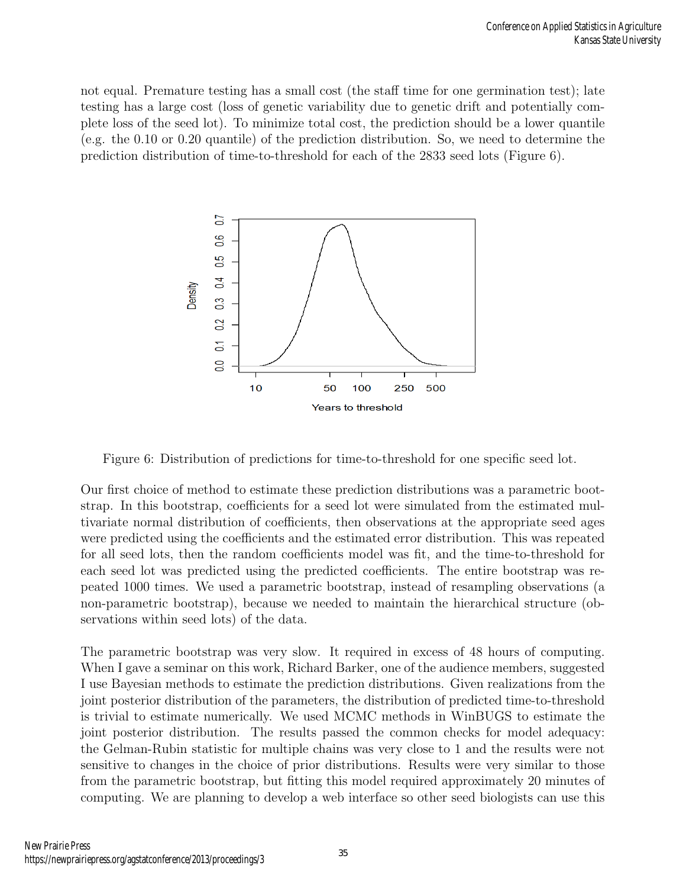not equal. Premature testing has a small cost (the staff time for one germination test); late testing has a large cost (loss of genetic variability due to genetic drift and potentially complete loss of the seed lot). To minimize total cost, the prediction should be a lower quantile (e.g. the 0.10 or 0.20 quantile) of the prediction distribution. So, we need to determine the prediction distribution of time-to-threshold for each of the 2833 seed lots (Figure 6).



Figure 6: Distribution of predictions for time-to-threshold for one specific seed lot.

Our first choice of method to estimate these prediction distributions was a parametric bootstrap. In this bootstrap, coefficients for a seed lot were simulated from the estimated multivariate normal distribution of coefficients, then observations at the appropriate seed ages were predicted using the coefficients and the estimated error distribution. This was repeated for all seed lots, then the random coefficients model was fit, and the time-to-threshold for each seed lot was predicted using the predicted coefficients. The entire bootstrap was repeated 1000 times. We used a parametric bootstrap, instead of resampling observations (a non-parametric bootstrap), because we needed to maintain the hierarchical structure (observations within seed lots) of the data.

The parametric bootstrap was very slow. It required in excess of 48 hours of computing. When I gave a seminar on this work, Richard Barker, one of the audience members, suggested I use Bayesian methods to estimate the prediction distributions. Given realizations from the joint posterior distribution of the parameters, the distribution of predicted time-to-threshold is trivial to estimate numerically. We used MCMC methods in WinBUGS to estimate the joint posterior distribution. The results passed the common checks for model adequacy: the Gelman-Rubin statistic for multiple chains was very close to 1 and the results were not sensitive to changes in the choice of prior distributions. Results were very similar to those from the parametric bootstrap, but fitting this model required approximately 20 minutes of computing. We are planning to develop a web interface so other seed biologists can use this